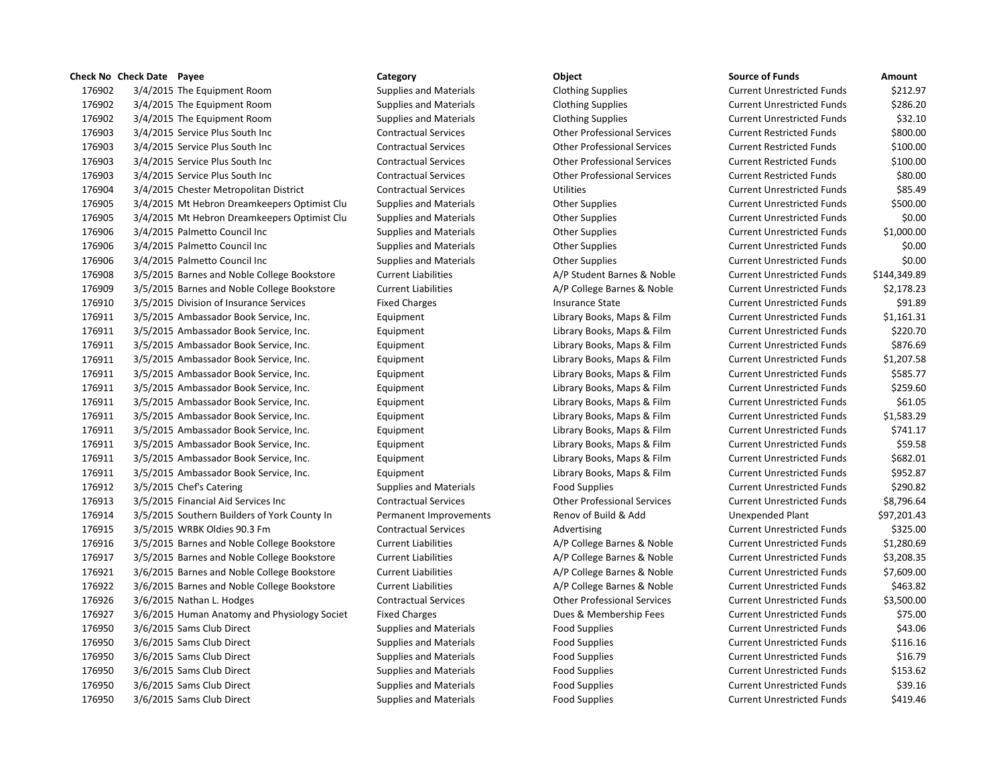# **Check No Check Date Payee Category Object Source of Funds Amount** 176902 3/4/2015 The Equipment Room Supplies and Materials Clothing Supplies Current Unrestricted Funds \$212.97 176902 3/4/2015 The Equipment Room Supplies and Materials Clothing Supplies Current Unrestricted Funds \$286.20 176902 3/4/2015 The Equipment Room Supplies and Materials Clothing Supplies Current Unrestricted Funds \$32.10 176903 3/4/2015 Service Plus South Inc Contractual Services Other Professional Services Current Restricted Funds \$800.00 176903 3/4/2015 Service Plus South Inc Contractual Services Other Professional Services Current Restricted Funds \$100.00 176903 3/4/2015 Service Plus South Inc Contractual Services Other Professional Services Current Restricted Funds \$100.00 176903 3/4/2015 Service Plus South Inc Contractual Services Other Professional Services Current Restricted Funds \$80.00 176904 3/4/2015 Chester Metropolitan District Contractual Services Utilities Current Unrestricted Funds \$85.49 176905 3/4/2015 Mt Hebron Dreamkeepers Optimist Clu Supplies and Materials Other Supplies Current Unrestricted Funds \$500.00 176905 3/4/2015 Mt Hebron Dreamkeepers Optimist Clu Supplies and Materials Other Supplies Current Unrestricted Funds \$0.00 176906 3/4/2015 Palmetto Council Inc Supplies and Materials Current Unrestricted Funds S1,000.00 176906 3/4/2015 Palmetto Council Inc Supplies and Materials Current Unrestricted Funds \$0.00 176906 3/4/2015 Palmetto Council Inc Supplies and Materials Current Unrestricted Funds S0.00 176908 3/5/2015 Barnes and Noble College Bookstore Current Liabilities A/P Student Barnes & Noble Current Unrestricted Funds \$144,349.89 176909 3/5/2015 Barnes and Noble College Bookstore Current Liabilities A/P College Barnes & Noble Current Unrestricted Funds \$2,178.23 176910 3/5/2015 Division of Insurance Services Fixed Charges Insurance State Current Unrestricted Funds \$91.89 176911 3/5/2015 Ambassador Book Service, Inc. Equipment Library Books, Maps & Film Current Unrestricted Funds \$1,161.31 176911 3/5/2015 Ambassador Book Service, Inc. Equipment Library Books, Maps & Film Current Unrestricted Funds \$220.70 176911 3/5/2015 Ambassador Book Service, Inc. Equipment Library Books, Maps & Film Current Unrestricted Funds \$876.69 176911 3/5/2015 Ambassador Book Service, Inc. Equipment Library Books, Maps & Film Current Unrestricted Funds \$1,207.58 176911 3/5/2015 Ambassador Book Service, Inc. Equipment Library Books, Maps & Film Current Unrestricted Funds \$585.77 176911 3/5/2015 Ambassador Book Service, Inc. Equipment Library Books, Maps & Film Current Unrestricted Funds \$259.60 176911 3/5/2015 Ambassador Book Service, Inc. Equipment Library Books, Maps & Film Current Unrestricted Funds \$61.05 176911 3/5/2015 Ambassador Book Service, Inc. Equipment Library Books, Maps & Film Current Unrestricted Funds \$1,583.29 176911 3/5/2015 Ambassador Book Service, Inc. Equipment Library Books, Maps & Film Current Unrestricted Funds \$741.17 176911 3/5/2015 Ambassador Book Service, Inc. Equipment Library Books, Maps & Film Current Unrestricted Funds \$59.58 176911 3/5/2015 Ambassador Book Service, Inc. Equipment Library Books, Maps & Film Current Unrestricted Funds \$682.01 176911 3/5/2015 Ambassador Book Service, Inc. Equipment Library Books, Maps & Film Current Unrestricted Funds \$952.87 176912 3/5/2015 Chef's Catering The Supplies and Materials Food Supplies Food Supplies Current Unrestricted Funds \$290.82 176913 3/5/2015 Financial Aid Services Inc Contractual Services Other Professional Services Current Unrestricted Funds \$8,796.64 176914 3/5/2015 Southern Builders of York County In Permanent Improvements Renov of Build & Add Unexpended Plant \$97,201.43 176915 3/5/2015 WRBK Oldies 90.3 Fm Contractual Services Advertising Current Unrestricted Funds \$325.00 176916 3/5/2015 Barnes and Noble College Bookstore Current Liabilities A/P College Barnes & Noble Current Unrestricted Funds \$1.280.69 176917 3/5/2015 Barnes and Noble College Bookstore Current Liabilities A/P College Barnes & Noble Current Unrestricted Funds \$3,208.35 176921 3/6/2015 Barnes and Noble College Bookstore Current Liabilities A/P College Barnes & Noble Current Unrestricted Funds \$7.609.00 176922 3/6/2015 Barnes and Noble College Bookstore Current Liabilities A/P College Barnes & Noble Current Unrestricted Funds \$463.82 176926 3/6/2015 Nathan L. Hodges Contractual Services Other Professional Services Current Unrestricted Funds \$3,500.00 176927 3/6/2015 Human Anatomy and Physiology Societ Fixed Charges Dues & Membership Fees Current Unrestricted Funds \$75.00 176950 3/6/2015 Sams Club Direct Supplies and Materials Food Supplies Food Supplies Current Unrestricted Funds \$43.06 176950 3/6/2015 Sams Club Direct Supplies and Materials Food Supplies Food Supplies Current Unrestricted Funds \$116.16 176950 3/6/2015 Sams Club Direct Supplies and Materials Food Supplies Current Unrestricted Funds \$16.79 176950 3/6/2015 Sams Club Direct Supplies and Materials Food Supplies Food Supplies Current Unrestricted Funds \$153.62 176950 3/6/2015 Sams Club Direct Supplies and Materials Food Supplies Food Supplies Current Unrestricted Funds \$39.16 176950 3/6/2015 Sams Club Direct Supplies and Materials Food Supplies Food Supplies Current Unrestricted Funds \$419.46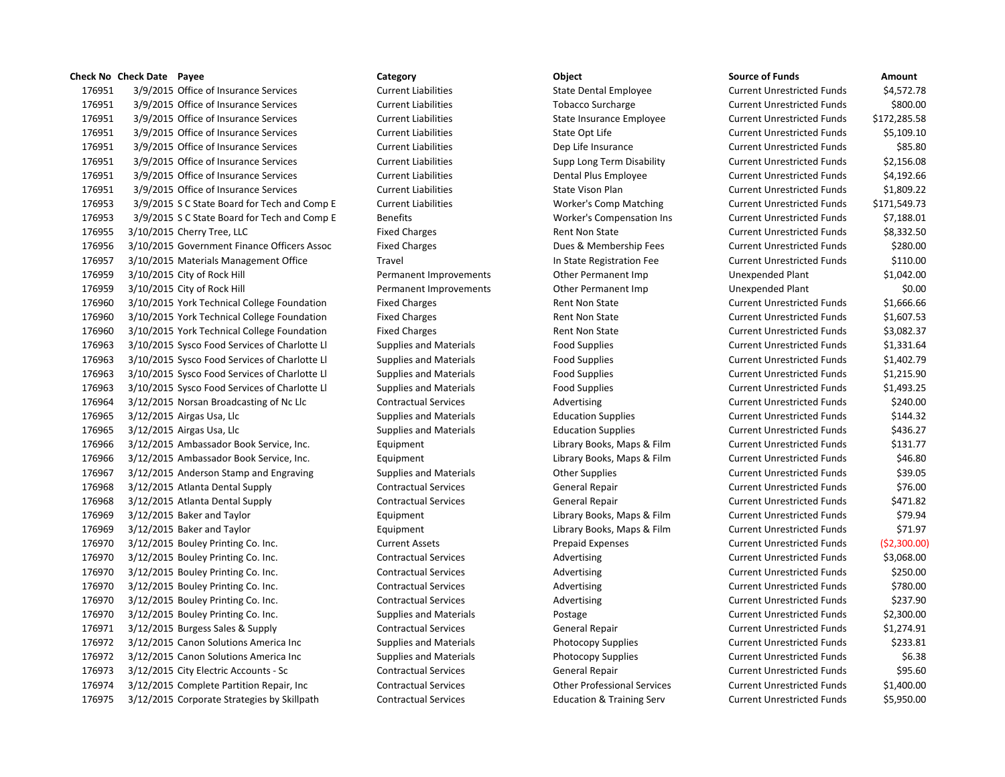# **Check No Check Date Payee Category Object Source of Funds Amount**

176951 3/9/2015 Office of Insurance Services Current Liabilities State Dental Employee Current Unrestricted Funds \$4,572.78 3/9/2015 Office of Insurance Services Current Liabilities Tobacco Surcharge Current Unrestricted Funds \$800.00 3/9/2015 Office of Insurance Services Current Liabilities State Insurance Employee Current Unrestricted Funds \$172,285.58 176951 3/9/2015 Office of Insurance Services Current Liabilities Current Liabilities State Opt Life Current Unrestricted Funds \$5,109.10 3/9/2015 Office of Insurance Services Current Liabilities Dep Life Insurance Current Unrestricted Funds \$85.80 3/9/2015 Office of Insurance Services Current Liabilities Supp Long Term Disability Current Unrestricted Funds \$2,156.08 3/9/2015 Office of Insurance Services Current Liabilities Dental Plus Employee Current Unrestricted Funds \$4,192.66 3/9/2015 Office of Insurance Services Current Liabilities State Vison Plan Current Unrestricted Funds \$1,809.22 3/9/2015 S C State Board for Tech and Comp E Current Liabilities Worker's Comp Matching Current Unrestricted Funds \$171,549.73 3/9/2015 S C State Board for Tech and Comp E Benefits Worker's Compensation Ins Current Unrestricted Funds \$7,188.01 176955 3/10/2015 Cherry Tree, LLC **Fixed Charges** Fixed Charges Rent Non State Current Unrestricted Funds \$8,332.50 3/10/2015 Government Finance Officers Assoc Fixed Charges Dues & Membership Fees Current Unrestricted Funds \$280.00 3/10/2015 Materials Management Office Travel In State Registration Fee Current Unrestricted Funds \$110.00 3/10/2015 City of Rock Hill Permanent Improvements Other Permanent Imp Unexpended Plant \$1,042.00 3/10/2015 City of Rock Hill Permanent Improvements Other Permanent Imp Unexpended Plant \$0.00 176960 3/10/2015 York Technical College Foundation Fixed Charges Rent Non State Current Unrestricted Funds \$1,666.66 176960 3/10/2015 York Technical College Foundation Fixed Charges Rent Non State Current Unrestricted Funds \$1,607.53 3/10/2015 York Technical College Foundation Fixed Charges Rent Non State Current Unrestricted Funds \$3,082.37 3/10/2015 Sysco Food Services of Charlotte Ll Supplies and Materials Food Supplies Current Unrestricted Funds \$1,331.64 3/10/2015 Sysco Food Services of Charlotte Ll Supplies and Materials Food Supplies Current Unrestricted Funds \$1,402.79 3/10/2015 Sysco Food Services of Charlotte Ll Supplies and Materials Food Supplies Current Unrestricted Funds \$1,215.90 3/10/2015 Sysco Food Services of Charlotte Ll Supplies and Materials Food Supplies Current Unrestricted Funds \$1,493.25 176964 3/12/2015 Norsan Broadcasting of Nc Llc Contractual Services Advertising Advertising Current Unrestricted Funds \$240.00 3/12/2015 Airgas Usa, Llc Supplies and Materials Education Supplies Current Unrestricted Funds \$144.32 176965 3/12/2015 Airgas Usa, Llc Supplies and Materials Education Supplies Current Unrestricted Funds \$436.27 3/12/2015 Ambassador Book Service, Inc. Equipment Library Books, Maps & Film Current Unrestricted Funds \$131.77 3/12/2015 Ambassador Book Service, Inc. Equipment Library Books, Maps & Film Current Unrestricted Funds \$46.80 176967 3/12/2015 Anderson Stamp and Engraving Supplies and Materials Current Unrestricted Funds Supplies Supplies Current Unrestricted Funds \$39.05 3/12/2015 Atlanta Dental Supply Contractual Services General Repair Current Unrestricted Funds \$76.00 3/12/2015 Atlanta Dental Supply Contractual Services General Repair Current Unrestricted Funds \$471.82 3/12/2015 Baker and Taylor Equipment Library Books, Maps & Film Current Unrestricted Funds \$79.94 3/12/2015 Baker and Taylor Equipment Library Books, Maps & Film Current Unrestricted Funds \$71.97 3/12/2015 Bouley Printing Co. Inc. Current Assets Prepaid Expenses Current Unrestricted Funds (\$2,300.00) 176970 3/12/2015 Bouley Printing Co. Inc. Contractual Services Advertising Current Unrestricted Funds \$3,068.00 176970 3/12/2015 Bouley Printing Co. Inc. Contractual Services Advertising Advertising Current Unrestricted Funds \$250.00 176970 3/12/2015 Bouley Printing Co. Inc. Contractual Services Advertising Current Unrestricted Funds \$780.00 176970 3/12/2015 Bouley Printing Co. Inc. Contractual Services Advertising Current Unrestricted Funds \$237.90 3/12/2015 Bouley Printing Co. Inc. Supplies and Materials Postage Current Unrestricted Funds \$2,300.00 176971 3/12/2015 Burgess Sales & Supply Contractual Services General Repair Current Unrestricted Funds \$1,274.91 176972 3/12/2015 Canon Solutions America Inc Supplies and Materials Photocopy Supplies Current Unrestricted Funds \$233.81 176972 3/12/2015 Canon Solutions America Inc Supplies and Materials Photocopy Supplies Current Unrestricted Funds \$6.38 3/12/2015 City Electric Accounts - Sc Contractual Services General Repair Current Unrestricted Funds \$95.60 3/12/2015 Complete Partition Repair, Inc Contractual Services Other Professional Services Current Unrestricted Funds \$1,400.00 3/12/2015 Corporate Strategies by Skillpath Contractual Services Education & Training Serv Current Unrestricted Funds \$5,950.00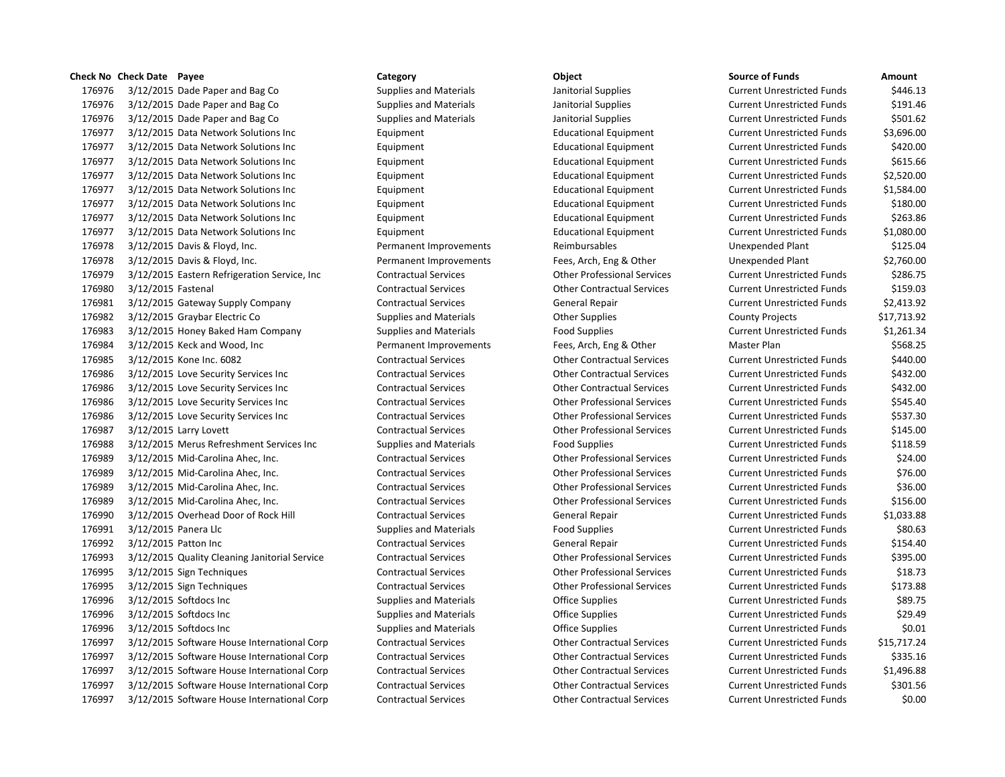# **Check No Check Date Payee Category Object Source of Funds Amount**

176976 3/12/2015 Dade Paper and Bag Co Supplies and Materials Janitorial Supplies Current Unrestricted Funds \$446.13 176976 3/12/2015 Dade Paper and Bag Co Supplies and Materials Janitorial Supplies Current Unrestricted Funds \$191.46 176976 3/12/2015 Dade Paper and Bag Co Supplies and Materials Janitorial Supplies Current Unrestricted Funds \$501.62 3/12/2015 Data Network Solutions Inc Equipment Educational Equipment Current Unrestricted Funds \$3,696.00 3/12/2015 Data Network Solutions Inc Equipment Educational Equipment Current Unrestricted Funds \$420.00 3/12/2015 Data Network Solutions Inc Equipment Educational Equipment Current Unrestricted Funds \$615.66 3/12/2015 Data Network Solutions Inc Equipment Educational Equipment Current Unrestricted Funds \$2,520.00 3/12/2015 Data Network Solutions Inc Equipment Educational Equipment Current Unrestricted Funds \$1,584.00 3/12/2015 Data Network Solutions Inc Equipment Educational Equipment Current Unrestricted Funds \$180.00 3/12/2015 Data Network Solutions Inc Equipment Educational Equipment Current Unrestricted Funds \$263.86 3/12/2015 Data Network Solutions Inc Equipment Educational Equipment Current Unrestricted Funds \$1,080.00 3/12/2015 Davis & Floyd, Inc. Permanent Improvements Reimbursables Unexpended Plant \$125.04 3/12/2015 Davis & Floyd, Inc. Permanent Improvements Fees, Arch, Eng & Other Unexpended Plant \$2,760.00 3/12/2015 Eastern Refrigeration Service, Inc Contractual Services Other Professional Services Current Unrestricted Funds \$286.75 3/12/2015 Fastenal Contractual Services Other Contractual Services Current Unrestricted Funds \$159.03 3/12/2015 Gateway Supply Company Contractual Services General Repair Current Unrestricted Funds \$2,413.92 3/12/2015 Graybar Electric Co Supplies and Materials Other Supplies County Projects \$17,713.92 176983 3/12/2015 Honey Baked Ham Company Supplies and Materials Food Supplies Food Supplies Current Unrestricted Funds \$1,261.34 3/12/2015 Keck and Wood, Inc Permanent Improvements Fees, Arch, Eng & Other Master Plan \$568.25 3/12/2015 Kone Inc. 6082 Contractual Services Other Contractual Services Current Unrestricted Funds \$440.00 3/12/2015 Love Security Services Inc Contractual Services Other Contractual Services Current Unrestricted Funds \$432.00 3/12/2015 Love Security Services Inc Contractual Services Other Contractual Services Current Unrestricted Funds \$432.00 3/12/2015 Love Security Services Inc Contractual Services Other Professional Services Current Unrestricted Funds \$545.40 3/12/2015 Love Security Services Inc Contractual Services Other Professional Services Current Unrestricted Funds \$537.30 3/12/2015 Larry Lovett Contractual Services Other Professional Services Current Unrestricted Funds \$145.00 176988 3/12/2015 Merus Refreshment Services Inc Supplies and Materials Food Supplies Current Unrestricted Funds 5118.59 3/12/2015 Mid-Carolina Ahec, Inc. Contractual Services Other Professional Services Current Unrestricted Funds \$24.00 3/12/2015 Mid-Carolina Ahec, Inc. Contractual Services Other Professional Services Current Unrestricted Funds \$76.00 3/12/2015 Mid-Carolina Ahec, Inc. Contractual Services Other Professional Services Current Unrestricted Funds \$36.00 3/12/2015 Mid-Carolina Ahec, Inc. Contractual Services Other Professional Services Current Unrestricted Funds \$156.00 3/12/2015 Overhead Door of Rock Hill Contractual Services General Repair Current Unrestricted Funds \$1,033.88 176991 3/12/2015 Panera Llc Supplies and Materials Food Supplies Food Supplies Current Unrestricted Funds \$80.63 3/12/2015 Patton Inc Contractual Services General Repair Current Unrestricted Funds \$154.40 3/12/2015 Quality Cleaning Janitorial Service Contractual Services Other Professional Services Current Unrestricted Funds \$395.00 3/12/2015 Sign Techniques Contractual Services Other Professional Services Current Unrestricted Funds \$18.73 3/12/2015 Sign Techniques Contractual Services Other Professional Services Current Unrestricted Funds \$173.88 176996 3/12/2015 Softdocs Inc Supplies and Materials Coffice Supplies Current Unrestricted Funds 589.75 176996 3/12/2015 Softdocs Inc Supplies and Materials Coffice Supplies Current Unrestricted Funds 529.49 176996 3/12/2015 Softdocs Inc Supplies and Materials Coffice Supplies Current Unrestricted Funds 50.01 3/12/2015 Software House International Corp Contractual Services Other Contractual Services Current Unrestricted Funds \$15,717.24 3/12/2015 Software House International Corp Contractual Services Other Contractual Services Current Unrestricted Funds \$335.16 3/12/2015 Software House International Corp Contractual Services Other Contractual Services Current Unrestricted Funds \$1,496.88 3/12/2015 Software House International Corp Contractual Services Other Contractual Services Current Unrestricted Funds \$301.56 3/12/2015 Software House International Corp Contractual Services Other Contractual Services Current Unrestricted Funds \$0.00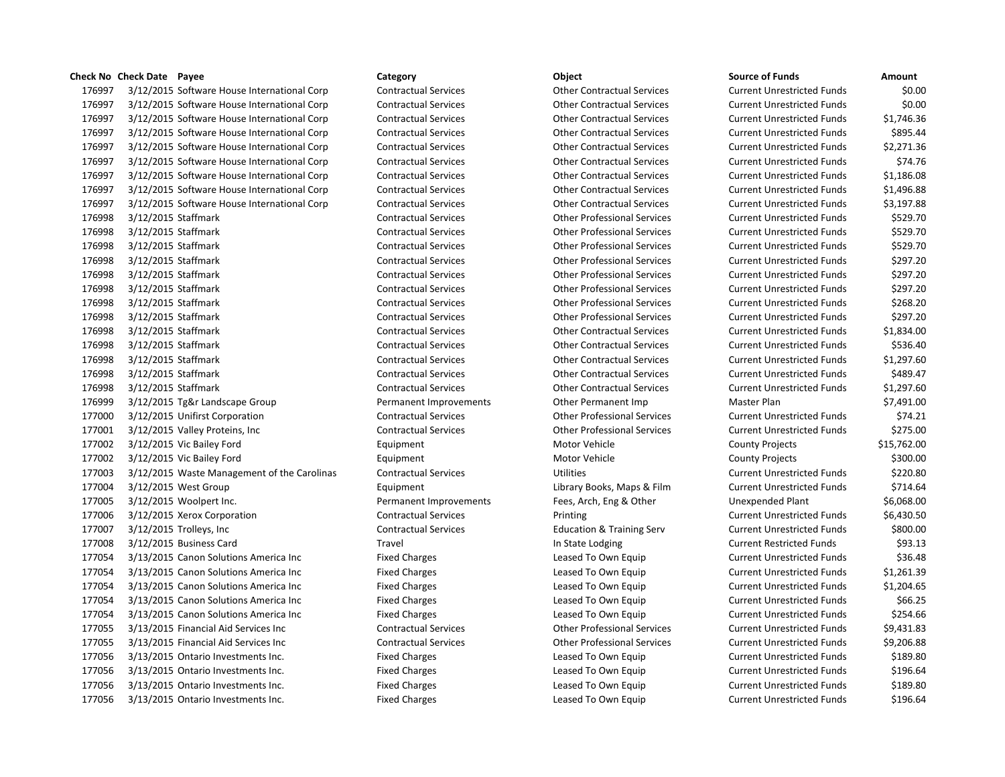# **Check No Check Date Payee Category Object Source of Funds Amount**

 3/12/2015 Software House International Corp Contractual Services Other Contractual Services Current Unrestricted Funds \$0.00 3/12/2015 Software House International Corp Contractual Services Other Contractual Services Current Unrestricted Funds \$0.00 3/12/2015 Software House International Corp Contractual Services Other Contractual Services Current Unrestricted Funds \$1,746.36 3/12/2015 Software House International Corp Contractual Services Other Contractual Services Current Unrestricted Funds \$895.44 3/12/2015 Software House International Corp Contractual Services Other Contractual Services Current Unrestricted Funds \$2,271.36 3/12/2015 Software House International Corp Contractual Services Other Contractual Services Current Unrestricted Funds \$74.76 3/12/2015 Software House International Corp Contractual Services Other Contractual Services Current Unrestricted Funds \$1,186.08 3/12/2015 Software House International Corp Contractual Services Other Contractual Services Current Unrestricted Funds \$1,496.88 3/12/2015 Software House International Corp Contractual Services Other Contractual Services Current Unrestricted Funds \$3,197.88 3/12/2015 Staffmark Contractual Services Other Professional Services Current Unrestricted Funds \$529.70 3/12/2015 Staffmark Contractual Services Other Professional Services Current Unrestricted Funds \$529.70 3/12/2015 Staffmark Contractual Services Other Professional Services Current Unrestricted Funds \$529.70 3/12/2015 Staffmark Contractual Services Other Professional Services Current Unrestricted Funds \$297.20 3/12/2015 Staffmark Contractual Services Other Professional Services Current Unrestricted Funds \$297.20 3/12/2015 Staffmark Contractual Services Other Professional Services Current Unrestricted Funds \$297.20 3/12/2015 Staffmark Contractual Services Other Professional Services Current Unrestricted Funds \$268.20 3/12/2015 Staffmark Contractual Services Other Professional Services Current Unrestricted Funds \$297.20 3/12/2015 Staffmark Contractual Services Other Contractual Services Current Unrestricted Funds \$1,834.00 3/12/2015 Staffmark Contractual Services Other Contractual Services Current Unrestricted Funds \$536.40 3/12/2015 Staffmark Contractual Services Other Contractual Services Current Unrestricted Funds \$1,297.60 3/12/2015 Staffmark Contractual Services Other Contractual Services Current Unrestricted Funds \$489.47 3/12/2015 Staffmark Contractual Services Other Contractual Services Current Unrestricted Funds \$1,297.60 3/12/2015 Tg&r Landscape Group Permanent Improvements Other Permanent Imp Master Plan \$7,491.00 3/12/2015 Unifirst Corporation Contractual Services Other Professional Services Current Unrestricted Funds \$74.21 3/12/2015 Valley Proteins, Inc Contractual Services Other Professional Services Current Unrestricted Funds \$275.00 177002 3/12/2015 Vic Bailey Ford **Equipment** Equipment Motor Vehicle County Projects \$15,762.00 177002 3/12/2015 Vic Bailey Ford County Projects S300.00 3/12/2015 Waste Management of the Carolinas Contractual Services Utilities Current Unrestricted Funds \$220.80 3/12/2015 West Group Equipment Library Books, Maps & Film Current Unrestricted Funds \$714.64 3/12/2015 Woolpert Inc. Permanent Improvements Fees, Arch, Eng & Other Unexpended Plant \$6,068.00 3/12/2015 Xerox Corporation Contractual Services Printing Current Unrestricted Funds \$6,430.50 3/12/2015 Trolleys, Inc Contractual Services Education & Training Serv Current Unrestricted Funds \$800.00 177008 3/12/2015 Business Card Travel Travel Travel Travel In State Lodging Current Restricted Funds \$93.13 177054 3/13/2015 Canon Solutions America Inc Fixed Charges Leased To Own Equip Current Unrestricted Funds \$36.48 177054 3/13/2015 Canon Solutions America Inc Fixed Charges Leased To Own Equip Current Unrestricted Funds \$1.261.39 3/13/2015 Canon Solutions America Inc Fixed Charges Leased To Own Equip Current Unrestricted Funds \$1,204.65 177054 3/13/2015 Canon Solutions America Inc Fixed Charges Leased To Own Equip Current Unrestricted Funds \$66.25 177054 3/13/2015 Canon Solutions America Inc Fixed Charges Leased To Own Equip Current Unrestricted Funds \$254.66 3/13/2015 Financial Aid Services Inc Contractual Services Other Professional Services Current Unrestricted Funds \$9,431.83 3/13/2015 Financial Aid Services Inc Contractual Services Other Professional Services Current Unrestricted Funds \$9,206.88 177056 3/13/2015 Ontario Investments Inc. The Superior Fixed Charges Leased To Own Equip Current Unrestricted Funds \$189.80 3/13/2015 Ontario Investments Inc. Fixed Charges Leased To Own Equip Current Unrestricted Funds \$196.64 177056 3/13/2015 Ontario Investments Inc. The Superior Fixed Charges Leased To Own Equip Current Unrestricted Funds \$189.80 177056 3/13/2015 Ontario Investments Inc. The Fixed Charges Leased To Own Equip Current Unrestricted Funds \$196.64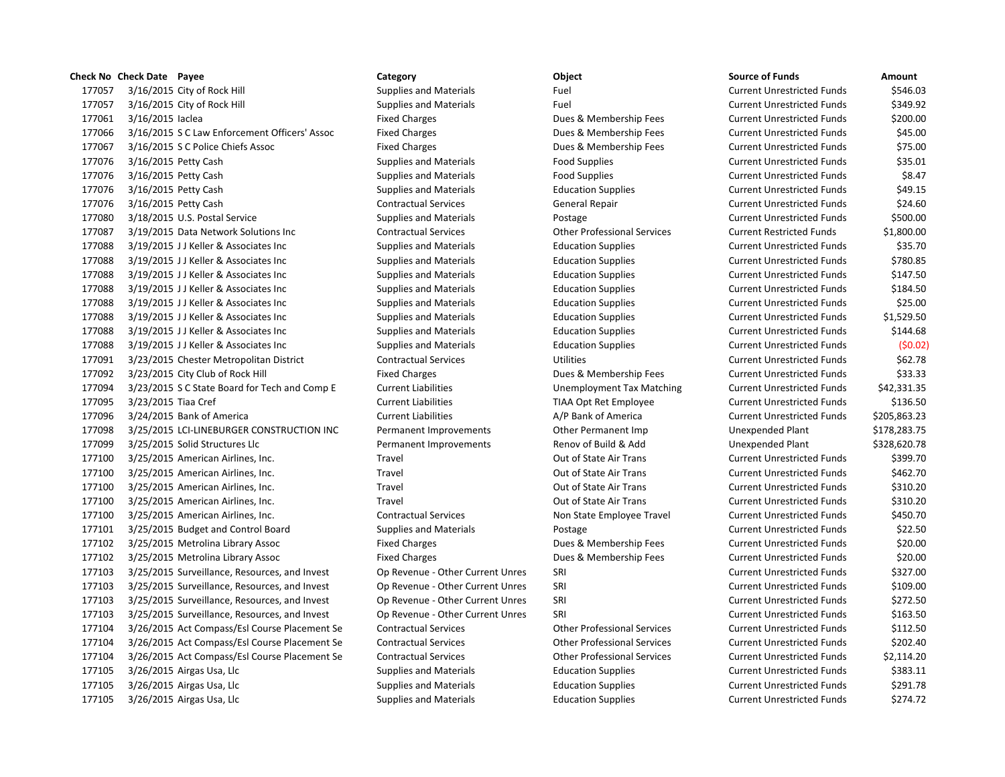|        | Check No Check Date Payee                     | Category                         | Object                             | <b>Source of Funds</b>            | Amount     |
|--------|-----------------------------------------------|----------------------------------|------------------------------------|-----------------------------------|------------|
| 177057 | 3/16/2015 City of Rock Hill                   | <b>Supplies and Materials</b>    | Fuel                               | <b>Current Unrestricted Funds</b> | \$546.     |
| 177057 | 3/16/2015 City of Rock Hill                   | <b>Supplies and Materials</b>    | Fuel                               | <b>Current Unrestricted Funds</b> | \$349.     |
| 177061 | 3/16/2015 laclea                              | <b>Fixed Charges</b>             | Dues & Membership Fees             | <b>Current Unrestricted Funds</b> | \$200.     |
| 177066 | 3/16/2015 S C Law Enforcement Officers' Assoc | <b>Fixed Charges</b>             | Dues & Membership Fees             | <b>Current Unrestricted Funds</b> | \$45.      |
| 177067 | 3/16/2015 S C Police Chiefs Assoc             | <b>Fixed Charges</b>             | Dues & Membership Fees             | <b>Current Unrestricted Funds</b> | \$75.0     |
| 177076 | 3/16/2015 Petty Cash                          | <b>Supplies and Materials</b>    | <b>Food Supplies</b>               | <b>Current Unrestricted Funds</b> | \$35.0     |
| 177076 | 3/16/2015 Petty Cash                          | <b>Supplies and Materials</b>    | <b>Food Supplies</b>               | <b>Current Unrestricted Funds</b> | \$8.4      |
| 177076 | 3/16/2015 Petty Cash                          | <b>Supplies and Materials</b>    | <b>Education Supplies</b>          | <b>Current Unrestricted Funds</b> | \$49.      |
| 177076 | 3/16/2015 Petty Cash                          | <b>Contractual Services</b>      | <b>General Repair</b>              | <b>Current Unrestricted Funds</b> | \$24.      |
| 177080 | 3/18/2015 U.S. Postal Service                 | <b>Supplies and Materials</b>    | Postage                            | <b>Current Unrestricted Funds</b> | \$500.     |
| 177087 | 3/19/2015 Data Network Solutions Inc          | <b>Contractual Services</b>      | <b>Other Professional Services</b> | <b>Current Restricted Funds</b>   | \$1,800.   |
| 177088 | 3/19/2015 JJ Keller & Associates Inc          | <b>Supplies and Materials</b>    | <b>Education Supplies</b>          | <b>Current Unrestricted Funds</b> | \$35.      |
| 177088 | 3/19/2015 JJ Keller & Associates Inc          | Supplies and Materials           | <b>Education Supplies</b>          | <b>Current Unrestricted Funds</b> | \$780.     |
| 177088 | 3/19/2015 JJ Keller & Associates Inc          | <b>Supplies and Materials</b>    | <b>Education Supplies</b>          | <b>Current Unrestricted Funds</b> | \$147.     |
| 177088 | 3/19/2015 JJ Keller & Associates Inc          | <b>Supplies and Materials</b>    | <b>Education Supplies</b>          | <b>Current Unrestricted Funds</b> | \$184.     |
| 177088 | 3/19/2015 JJ Keller & Associates Inc          | Supplies and Materials           | <b>Education Supplies</b>          | <b>Current Unrestricted Funds</b> | \$25.0     |
| 177088 | 3/19/2015 JJ Keller & Associates Inc          | Supplies and Materials           | <b>Education Supplies</b>          | <b>Current Unrestricted Funds</b> | \$1,529.   |
| 177088 | 3/19/2015 JJ Keller & Associates Inc          | <b>Supplies and Materials</b>    | <b>Education Supplies</b>          | <b>Current Unrestricted Funds</b> | \$144.     |
| 177088 | 3/19/2015 JJ Keller & Associates Inc          | <b>Supplies and Materials</b>    | <b>Education Supplies</b>          | <b>Current Unrestricted Funds</b> | (50.1)     |
| 177091 | 3/23/2015 Chester Metropolitan District       | <b>Contractual Services</b>      | <b>Utilities</b>                   | <b>Current Unrestricted Funds</b> | \$62.      |
| 177092 | 3/23/2015 City Club of Rock Hill              | <b>Fixed Charges</b>             | Dues & Membership Fees             | <b>Current Unrestricted Funds</b> | \$33.      |
| 177094 | 3/23/2015 S C State Board for Tech and Comp E | <b>Current Liabilities</b>       | Unemployment Tax Matching          | <b>Current Unrestricted Funds</b> | \$42,331.  |
| 177095 | 3/23/2015 Tiaa Cref                           | <b>Current Liabilities</b>       | TIAA Opt Ret Employee              | <b>Current Unrestricted Funds</b> | \$136.     |
| 177096 | 3/24/2015 Bank of America                     | <b>Current Liabilities</b>       | A/P Bank of America                | <b>Current Unrestricted Funds</b> | \$205,863. |
| 177098 | 3/25/2015 LCI-LINEBURGER CONSTRUCTION INC     | Permanent Improvements           | Other Permanent Imp                | Unexpended Plant                  | \$178,283. |
| 177099 | 3/25/2015 Solid Structures Llc                | Permanent Improvements           | Renov of Build & Add               | Unexpended Plant                  | \$328,620. |
| 177100 | 3/25/2015 American Airlines, Inc.             | Travel                           | Out of State Air Trans             | <b>Current Unrestricted Funds</b> | \$399.     |
| 177100 | 3/25/2015 American Airlines, Inc.             | Travel                           | Out of State Air Trans             | <b>Current Unrestricted Funds</b> | \$462.     |
| 177100 | 3/25/2015 American Airlines, Inc.             | Travel                           | Out of State Air Trans             | <b>Current Unrestricted Funds</b> | \$310.     |
| 177100 | 3/25/2015 American Airlines, Inc.             | Travel                           | Out of State Air Trans             | <b>Current Unrestricted Funds</b> | \$310.     |
| 177100 | 3/25/2015 American Airlines, Inc.             | <b>Contractual Services</b>      | Non State Employee Travel          | <b>Current Unrestricted Funds</b> | \$450.     |
| 177101 | 3/25/2015 Budget and Control Board            | <b>Supplies and Materials</b>    | Postage                            | <b>Current Unrestricted Funds</b> | \$22.      |
| 177102 | 3/25/2015 Metrolina Library Assoc             | <b>Fixed Charges</b>             | Dues & Membership Fees             | <b>Current Unrestricted Funds</b> | \$20.1     |
| 177102 | 3/25/2015 Metrolina Library Assoc             | <b>Fixed Charges</b>             | Dues & Membership Fees             | <b>Current Unrestricted Funds</b> | \$20.1     |
| 177103 | 3/25/2015 Surveillance, Resources, and Invest | Op Revenue - Other Current Unres | SRI                                | <b>Current Unrestricted Funds</b> | \$327.     |
| 177103 | 3/25/2015 Surveillance, Resources, and Invest | Op Revenue - Other Current Unres | SRI                                | <b>Current Unrestricted Funds</b> | \$109.     |
| 177103 | 3/25/2015 Surveillance, Resources, and Invest | Op Revenue - Other Current Unres | SRI                                | <b>Current Unrestricted Funds</b> | \$272      |
| 177103 | 3/25/2015 Surveillance, Resources, and Invest | Op Revenue - Other Current Unres | SRI                                | <b>Current Unrestricted Funds</b> | \$163.     |
| 177104 | 3/26/2015 Act Compass/Esl Course Placement Se | <b>Contractual Services</b>      | <b>Other Professional Services</b> | <b>Current Unrestricted Funds</b> | \$112.     |
| 177104 | 3/26/2015 Act Compass/Esl Course Placement Se | <b>Contractual Services</b>      | <b>Other Professional Services</b> | <b>Current Unrestricted Funds</b> | ،202ء      |
| 177104 | 3/26/2015 Act Compass/Esl Course Placement Se | <b>Contractual Services</b>      | <b>Other Professional Services</b> | <b>Current Unrestricted Funds</b> | \$2,114.   |
| 177105 | 3/26/2015 Airgas Usa, Llc                     | <b>Supplies and Materials</b>    | <b>Education Supplies</b>          | <b>Current Unrestricted Funds</b> | \$383.     |
| 177105 | 3/26/2015 Airgas Usa, Llc                     | <b>Supplies and Materials</b>    | <b>Education Supplies</b>          | <b>Current Unrestricted Funds</b> | \$291.     |
| 177105 | 3/26/2015 Airgas Usa, Llc                     | Supplies and Materials           | <b>Education Supplies</b>          | <b>Current Unrestricted Funds</b> | \$274.     |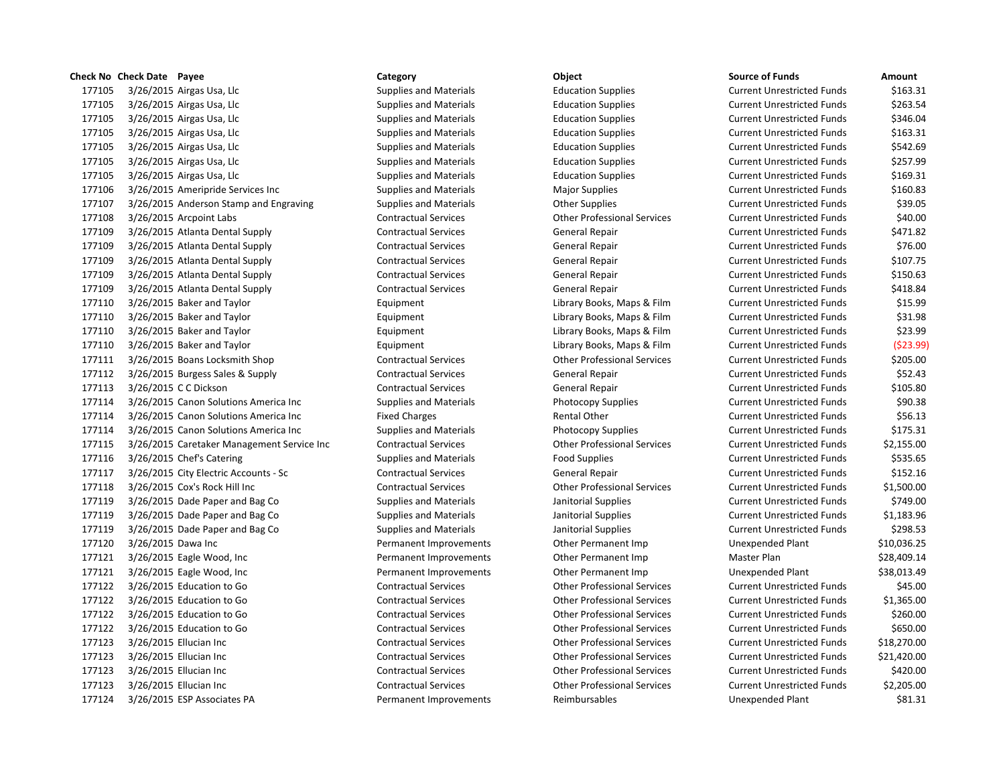|        | Theck NO Check Date Payee |                                        |
|--------|---------------------------|----------------------------------------|
| 177105 |                           | 3/26/2015 Airgas Usa, Llc              |
| 177105 |                           | 3/26/2015 Airgas Usa, Llc              |
| 177105 |                           | 3/26/2015 Airgas Usa, Llc              |
| 177105 |                           | 3/26/2015 Airgas Usa, Llc              |
| 177105 |                           | 3/26/2015 Airgas Usa, Llc              |
| 177105 |                           | 3/26/2015 Airgas Usa, Llc              |
| 177105 |                           | 3/26/2015 Airgas Usa, Llc              |
| 177106 |                           | 3/26/2015 Ameripride Services Inc      |
| 177107 |                           | 3/26/2015 Anderson Stamp and Engraving |
| 177108 |                           | 3/26/2015 Arcpoint Labs                |
| 177109 |                           | 3/26/2015 Atlanta Dental Supply        |
| 177109 |                           | 3/26/2015 Atlanta Dental Supply        |
| 177109 |                           | 3/26/2015 Atlanta Dental Supply        |
| 177109 |                           | 3/26/2015 Atlanta Dental Supply        |
| 177109 |                           | 3/26/2015 Atlanta Dental Supply        |
| 177110 |                           | 3/26/2015 Baker and Taylor             |
| 177110 |                           | 3/26/2015 Baker and Taylor             |
| 177110 |                           | 3/26/2015 Baker and Taylor             |
| 177110 |                           | 3/26/2015 Baker and Taylor             |
| 177111 |                           | 3/26/2015 Boans Locksmith Shop         |
| 177112 |                           | 3/26/2015 Burgess Sales & Supply       |
| 177113 |                           | 3/26/2015 C C Dickson                  |
| 177114 |                           | 3/26/2015 Canon Solutions America Inc  |
| 177114 |                           | 3/26/2015 Canon Solutions America Inc  |
| 177114 |                           | 3/26/2015 Canon Solutions America Inc  |
| 177115 |                           | 3/26/2015 Caretaker Management Servic  |
| 177116 |                           | 3/26/2015 Chef's Catering              |
| 177117 |                           | 3/26/2015 City Electric Accounts - Sc  |
| 177118 |                           | 3/26/2015 Cox's Rock Hill Inc          |
| 177119 |                           | 3/26/2015 Dade Paper and Bag Co        |
| 177119 |                           | 3/26/2015 Dade Paper and Bag Co        |
| 177119 |                           | 3/26/2015 Dade Paper and Bag Co        |
| 177120 | 3/26/2015 Dawa Inc        |                                        |
| 177121 |                           | 3/26/2015 Eagle Wood, Inc.             |
| 177121 |                           | 3/26/2015 Eagle Wood, Inc              |
| 177122 |                           | 3/26/2015 Education to Go              |
| 177122 |                           | 3/26/2015 Education to Go              |
| 177122 |                           | 3/26/2015 Education to Go              |
| 177122 |                           | 3/26/2015 Education to Go              |
| 177123 |                           | 3/26/2015 Ellucian Inc                 |
| 177123 |                           | 3/26/2015 Ellucian Inc                 |
| 177123 |                           | 3/26/2015 Ellucian Inc                 |
| 177123 |                           | 3/26/2015 Ellucian Inc                 |
| 177124 |                           | 3/26/2015 ESP Associates PA            |

**Check No Check Date Payee Category Object Source of Funds Amount** 3/26/2015 Airgas Usa, Llc Supplies and Materials Education Supplies Current Unrestricted Funds \$163.31 17525 Supplies and Materials **Education Supplies Current Unrestricted Funds** \$263.54 17746 Supplies and Materials **Education Supplies Current Unrestricted Funds** \$346.04 3/26/2015 Airgas Usa, Llc Supplies and Materials Education Supplies Current Unrestricted Funds \$163.31 3/26/2015 Airgas Usa, Llc Supplies and Materials Education Supplies Current Unrestricted Funds \$542.69 3/26/2015 Airgas Usa, Llc Supplies and Materials Education Supplies Current Unrestricted Funds \$257.99 3/26/2015 Airgas Usa, Llc Supplies and Materials Education Supplies Current Unrestricted Funds \$169.31 3/26/2015 Ameripride Services Inc Supplies and Materials Major Supplies Current Unrestricted Funds \$160.83 177107 177107 Supplies and Materials Current Unrestricted Funds Anderson Supplies Current Unrestricted Funds \$39.05 3/26/2015 Arcpoint Labs Contractual Services Other Professional Services Current Unrestricted Funds \$40.00 3/26/2015 Atlanta Dental Supply Contractual Services General Repair Current Unrestricted Funds \$471.82 1776.00 Contractual Services Contractual Services General Repair Current Unrestricted Funds \$76.00 3/26/2015 Atlanta Dental Supply Contractual Services General Repair Current Unrestricted Funds \$107.75 3/26/2015 Atlanta Dental Supply Contractual Services General Repair Current Unrestricted Funds \$150.63 3/26/2015 Atlanta Dental Supply Contractual Services General Repair Current Unrestricted Funds \$418.84 17.599 Equipment Current Library Books, Maps & Film Current Unrestricted Funds 177110 Equipment Current Library Books, Maps & Film Current Unrestricted Funds \$31.98 177110 Equipment Current Unrestricted Funds \$23.99 3/26/2015 Baker and Taylor Equipment Library Books, Maps & Film Current Unrestricted Funds (\$23.99) 3/26/2015 Boans Locksmith Shop Contractual Services Other Professional Services Current Unrestricted Funds \$205.00 3/26/2015 Burgess Sales & Supply Contractual Services General Repair Current Unrestricted Funds \$52.43 3/26/2015 C C Dickson Contractual Services General Repair Current Unrestricted Funds \$105.80 3/26/2015 Canon Solutions America Inc Supplies and Materials Photocopy Supplies Current Unrestricted Funds \$90.38 17711 1772 17711 3.56.13 17711 1772 1772 1784 1785 Eixed Charges Rental Other Current Unrestricted Funds \$56.13 Supplies and Materials **Supplies Current Unrestricted Funds** \$175.31 1771 177116 2.1755.00 Contractual Services Current Unrestricted Funds incorrent Unrestricted Funds inc. 3/26/2015 Chef's Catering Supplies and Materials Food Supplies Current Unrestricted Funds \$535.65 3/26/2015 City Electric Accounts - Sc Contractual Services General Repair Current Unrestricted Funds \$152.16 1,500.00 Contractual Services Current Unrestricted Funds \$1,500.00 3/26/2015 Dade Paper and Bag Co Supplies and Materials Janitorial Supplies Current Unrestricted Funds \$749.00 3/26/2015 Dade Paper and Bag Co Supplies and Materials Janitorial Supplies Current Unrestricted Funds \$1,183.96 3/26/2015 Dade Paper and Bag Co Supplies and Materials Janitorial Supplies Current Unrestricted Funds \$298.53 Permanent Improvements **1771** Other Permanent Imp **Unexpended Plant** \$10,036.25 17711 17721 1772 Permanent Improvements Cher Permanent Improvements COMERGEN BERGEN SESS, 28,409.14 1731, 1772 Permanent Improvements Cher Permanent Improvement Improvements S38,013.49 3/26/2015 Education to Go Contractual Services Other Professional Services Current Unrestricted Funds \$45.00 3/26/2015 Education to Go Contractual Services Other Professional Services Current Unrestricted Funds \$1,365.00 3/26/2015 Education to Go Contractual Services Other Professional Services Current Unrestricted Funds \$260.00 3/26/2015 Education to Go Contractual Services Other Professional Services Current Unrestricted Funds \$650.00 3/26/2015 Ellucian Inc Contractual Services Other Professional Services Current Unrestricted Funds \$18,270.00 3/26/2015 Ellucian Inc Contractual Services Other Professional Services Current Unrestricted Funds \$21,420.00 3/26/2015 Ellucian Inc Contractual Services Other Professional Services Current Unrestricted Funds \$420.00 3/26/2015 Ellucian Inc Contractual Services Other Professional Services Current Unrestricted Funds \$2,205.00 Permanent Improvements Reimbursables Unexpended Plant \$81.31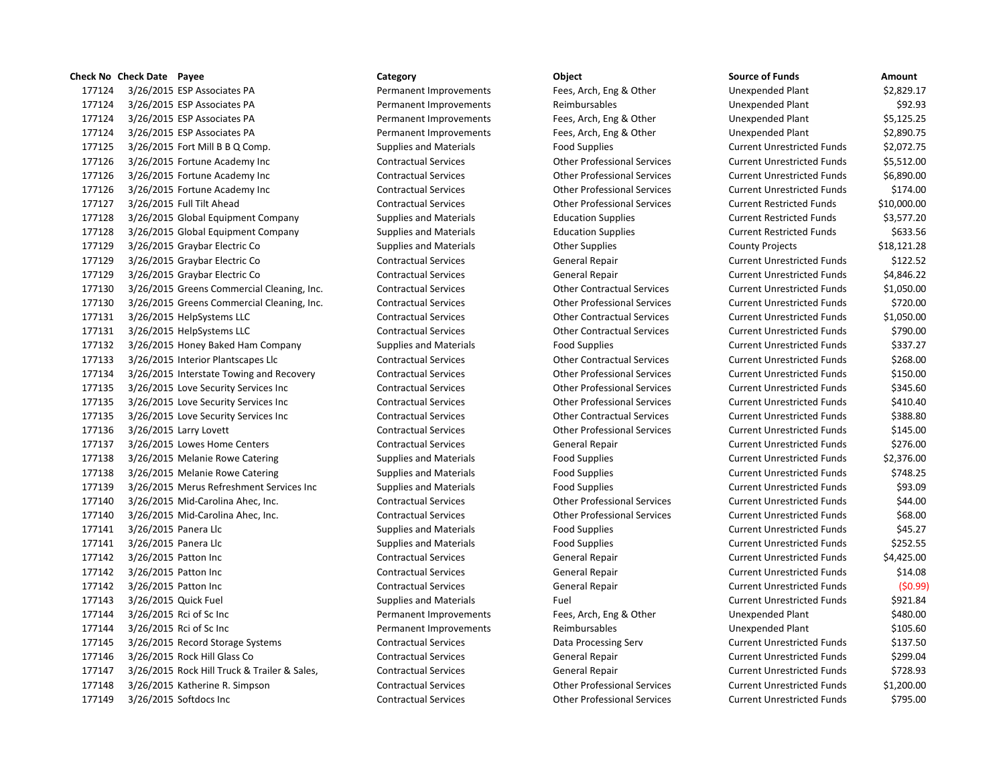3/26/2015 ESP Associates PA Permanent Improvements Fees, Arch, Eng & Other Unexpended Plant \$2,829.17 3/26/2015 ESP Associates PA Permanent Improvements Reimbursables Unexpended Plant \$92.93 3/26/2015 ESP Associates PA Permanent Improvements Fees, Arch, Eng & Other Unexpended Plant \$5,125.25 3/26/2015 ESP Associates PA Permanent Improvements Fees, Arch, Eng & Other Unexpended Plant \$2,890.75 177125 3/26/2015 Fort Mill B B Q Comp. Supplies and Materials Food Supplies Current Unrestricted Funds \$2,072.75 3/26/2015 Fortune Academy Inc Contractual Services Other Professional Services Current Unrestricted Funds \$5,512.00 3/26/2015 Fortune Academy Inc Contractual Services Other Professional Services Current Unrestricted Funds \$6,890.00 3/26/2015 Fortune Academy Inc Contractual Services Other Professional Services Current Unrestricted Funds \$174.00 3/26/2015 Full Tilt Ahead Contractual Services Other Professional Services Current Restricted Funds \$10,000.00 177128 3/26/2015 Global Equipment Company Supplies and Materials Education Supplies Current Restricted Funds \$3,577.20 177128 3/26/2015 Global Equipment Company Supplies and Materials Education Supplies Current Restricted Funds \$633.56 3/26/2015 Graybar Electric Co Supplies and Materials Other Supplies County Projects \$18,121.28 3/26/2015 Graybar Electric Co Contractual Services General Repair Current Unrestricted Funds \$122.52 3/26/2015 Graybar Electric Co Contractual Services General Repair Current Unrestricted Funds \$4,846.22 3/26/2015 Greens Commercial Cleaning, Inc. Contractual Services Other Contractual Services Current Unrestricted Funds \$1,050.00 3/26/2015 Greens Commercial Cleaning, Inc. Contractual Services Other Professional Services Current Unrestricted Funds \$720.00 3/26/2015 HelpSystems LLC Contractual Services Other Contractual Services Current Unrestricted Funds \$1,050.00 3/26/2015 HelpSystems LLC Contractual Services Other Contractual Services Current Unrestricted Funds \$790.00 177132 3/26/2015 Honey Baked Ham Company Supplies and Materials Food Supplies Food Supplies Current Unrestricted Funds \$337.27 3/26/2015 Interior Plantscapes Llc Contractual Services Other Contractual Services Current Unrestricted Funds \$268.00 3/26/2015 Interstate Towing and Recovery Contractual Services Other Professional Services Current Unrestricted Funds \$150.00 3/26/2015 Love Security Services Inc Contractual Services Other Professional Services Current Unrestricted Funds \$345.60 3/26/2015 Love Security Services Inc Contractual Services Other Professional Services Current Unrestricted Funds \$410.40 3/26/2015 Love Security Services Inc Contractual Services Other Contractual Services Current Unrestricted Funds \$388.80 3/26/2015 Larry Lovett Contractual Services Other Professional Services Current Unrestricted Funds \$145.00 3/26/2015 Lowes Home Centers Contractual Services General Repair Current Unrestricted Funds \$276.00 177138 3/26/2015 Melanie Rowe Catering Supplies and Materials Food Supplies Food Supplies Current Unrestricted Funds \$2,376.00 177138 3/26/2015 Melanie Rowe Catering Supplies and Materials Food Supplies Food Supplies Current Unrestricted Funds \$748.25 177139 3/26/2015 Merus Refreshment Services Inc Supplies and Materials Food Supplies Food Supplies Current Unrestricted Funds \$93.09 3/26/2015 Mid-Carolina Ahec, Inc. Contractual Services Other Professional Services Current Unrestricted Funds \$44.00 3/26/2015 Mid-Carolina Ahec, Inc. Contractual Services Other Professional Services Current Unrestricted Funds \$68.00 177141 3/26/2015 Panera Llc Supplies and Materials Food Supplies Current Unrestricted Funds \$45.27 177141 3/26/2015 Panera Llc Supplies and Materials Food Supplies Food Supplies Current Unrestricted Funds \$252.55 3/26/2015 Patton Inc Contractual Services General Repair Current Unrestricted Funds \$4,425.00 3/26/2015 Patton Inc Contractual Services General Repair Current Unrestricted Funds \$14.08 3/26/2015 Patton Inc Contractual Services General Repair Current Unrestricted Funds (\$0.99) 177143 3/26/2015 Quick Fuel Supplies and Materials Fuel Fuel Current Unrestricted Funds \$921.84 3/26/2015 Rci of Sc Inc Permanent Improvements Fees, Arch, Eng & Other Unexpended Plant \$480.00 3/26/2015 Rci of Sc Inc Permanent Improvements Reimbursables Unexpended Plant \$105.60 3/26/2015 Record Storage Systems Contractual Services Data Processing Serv Current Unrestricted Funds \$137.50 177146 3/26/2015 Rock Hill Glass Co **Contractual Services** General Repair Current Unrestricted Funds \$299.04 3/26/2015 Rock Hill Truck & Trailer & Sales, Contractual Services General Repair Current Unrestricted Funds \$728.93 3/26/2015 Katherine R. Simpson Contractual Services Other Professional Services Current Unrestricted Funds \$1,200.00 3/26/2015 Softdocs Inc Contractual Services Other Professional Services Current Unrestricted Funds \$795.00

**Check No Check Date Payee Category Object Source of Funds Amount**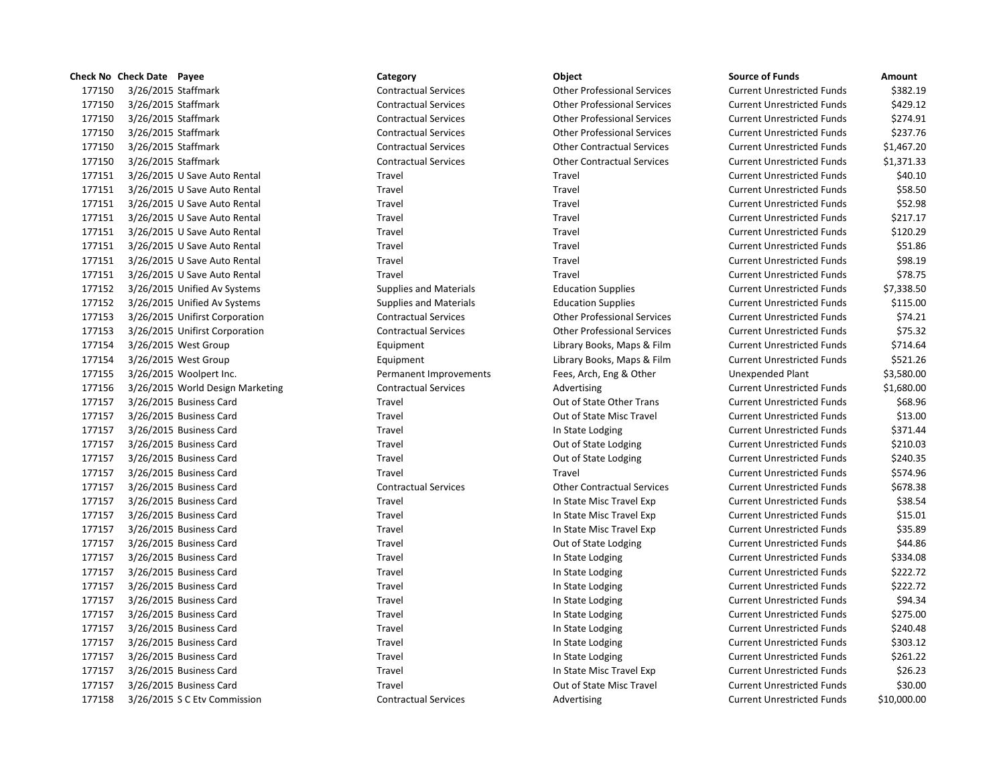|        | Check No Check Date Payee |                                  | Category                      | Object                             | <b>Source of Funds</b>            | Amount    |
|--------|---------------------------|----------------------------------|-------------------------------|------------------------------------|-----------------------------------|-----------|
| 177150 | 3/26/2015 Staffmark       |                                  | <b>Contractual Services</b>   | <b>Other Professional Services</b> | <b>Current Unrestricted Funds</b> | \$382.    |
| 177150 | 3/26/2015 Staffmark       |                                  | <b>Contractual Services</b>   | <b>Other Professional Services</b> | <b>Current Unrestricted Funds</b> | \$429.    |
| 177150 | 3/26/2015 Staffmark       |                                  | <b>Contractual Services</b>   | <b>Other Professional Services</b> | <b>Current Unrestricted Funds</b> | \$274.    |
| 177150 | 3/26/2015 Staffmark       |                                  | <b>Contractual Services</b>   | <b>Other Professional Services</b> | <b>Current Unrestricted Funds</b> | \$237.    |
| 177150 | 3/26/2015 Staffmark       |                                  | <b>Contractual Services</b>   | <b>Other Contractual Services</b>  | <b>Current Unrestricted Funds</b> | \$1,467.  |
| 177150 | 3/26/2015 Staffmark       |                                  | <b>Contractual Services</b>   | <b>Other Contractual Services</b>  | <b>Current Unrestricted Funds</b> | \$1,371.  |
| 177151 |                           | 3/26/2015 U Save Auto Rental     | Travel                        | Travel                             | <b>Current Unrestricted Funds</b> | \$40.     |
| 177151 |                           | 3/26/2015 U Save Auto Rental     | Travel                        | Travel                             | <b>Current Unrestricted Funds</b> | \$58.     |
| 177151 |                           | 3/26/2015 U Save Auto Rental     | Travel                        | Travel                             | <b>Current Unrestricted Funds</b> | \$52.9    |
| 177151 |                           | 3/26/2015 U Save Auto Rental     | Travel                        | Travel                             | <b>Current Unrestricted Funds</b> | \$217.    |
| 177151 |                           | 3/26/2015 U Save Auto Rental     | Travel                        | Travel                             | <b>Current Unrestricted Funds</b> | \$120.    |
| 177151 |                           | 3/26/2015 U Save Auto Rental     | Travel                        | Travel                             | <b>Current Unrestricted Funds</b> | \$51.     |
| 177151 |                           | 3/26/2015 U Save Auto Rental     | Travel                        | Travel                             | <b>Current Unrestricted Funds</b> | \$98.     |
| 177151 |                           | 3/26/2015 U Save Auto Rental     | Travel                        | Travel                             | <b>Current Unrestricted Funds</b> | \$78.     |
| 177152 |                           | 3/26/2015 Unified Av Systems     | <b>Supplies and Materials</b> | <b>Education Supplies</b>          | <b>Current Unrestricted Funds</b> | \$7,338.  |
| 177152 |                           | 3/26/2015 Unified Av Systems     | <b>Supplies and Materials</b> | <b>Education Supplies</b>          | <b>Current Unrestricted Funds</b> | \$115.    |
| 177153 |                           | 3/26/2015 Unifirst Corporation   | <b>Contractual Services</b>   | <b>Other Professional Services</b> | <b>Current Unrestricted Funds</b> | \$74.     |
| 177153 |                           | 3/26/2015 Unifirst Corporation   | <b>Contractual Services</b>   | <b>Other Professional Services</b> | <b>Current Unrestricted Funds</b> | \$75.     |
| 177154 |                           | 3/26/2015 West Group             | Equipment                     | Library Books, Maps & Film         | <b>Current Unrestricted Funds</b> | \$714.    |
| 177154 |                           | 3/26/2015 West Group             | Equipment                     | Library Books, Maps & Film         | <b>Current Unrestricted Funds</b> | \$521.    |
| 177155 |                           | 3/26/2015 Woolpert Inc.          | Permanent Improvements        | Fees, Arch, Eng & Other            | Unexpended Plant                  | \$3,580.  |
| 177156 |                           | 3/26/2015 World Design Marketing | <b>Contractual Services</b>   | Advertising                        | <b>Current Unrestricted Funds</b> | \$1,680.  |
| 177157 |                           | 3/26/2015 Business Card          | Travel                        | Out of State Other Trans           | <b>Current Unrestricted Funds</b> | \$68.     |
| 177157 |                           | 3/26/2015 Business Card          | Travel                        | Out of State Misc Travel           | <b>Current Unrestricted Funds</b> | \$13.     |
| 177157 |                           | 3/26/2015 Business Card          | Travel                        | In State Lodging                   | <b>Current Unrestricted Funds</b> | \$371.    |
| 177157 |                           | 3/26/2015 Business Card          | Travel                        | Out of State Lodging               | <b>Current Unrestricted Funds</b> | \$210.    |
| 177157 |                           | 3/26/2015 Business Card          | Travel                        | Out of State Lodging               | <b>Current Unrestricted Funds</b> | \$240.    |
| 177157 |                           | 3/26/2015 Business Card          | Travel                        | Travel                             | <b>Current Unrestricted Funds</b> | \$574.    |
| 177157 |                           | 3/26/2015 Business Card          | <b>Contractual Services</b>   | <b>Other Contractual Services</b>  | <b>Current Unrestricted Funds</b> | \$678.    |
| 177157 |                           | 3/26/2015 Business Card          | Travel                        | In State Misc Travel Exp           | <b>Current Unrestricted Funds</b> | \$38.     |
| 177157 |                           | 3/26/2015 Business Card          | Travel                        | In State Misc Travel Exp           | <b>Current Unrestricted Funds</b> | \$15.     |
| 177157 |                           | 3/26/2015 Business Card          | Travel                        | In State Misc Travel Exp           | <b>Current Unrestricted Funds</b> | \$35.     |
| 177157 |                           | 3/26/2015 Business Card          | Travel                        | Out of State Lodging               | <b>Current Unrestricted Funds</b> | \$44.3    |
| 177157 |                           | 3/26/2015 Business Card          | Travel                        | In State Lodging                   | <b>Current Unrestricted Funds</b> | \$334.1   |
| 177157 |                           | 3/26/2015 Business Card          | Travel                        | In State Lodging                   | <b>Current Unrestricted Funds</b> | \$222.    |
| 177157 |                           | 3/26/2015 Business Card          | Travel                        | In State Lodging                   | <b>Current Unrestricted Funds</b> | \$222.    |
| 177157 |                           | 3/26/2015 Business Card          | Travel                        | In State Lodging                   | <b>Current Unrestricted Funds</b> | \$94.     |
| 177157 |                           | 3/26/2015 Business Card          | Travel                        | In State Lodging                   | <b>Current Unrestricted Funds</b> | \$275.    |
| 177157 |                           | 3/26/2015 Business Card          | Travel                        | In State Lodging                   | <b>Current Unrestricted Funds</b> | ،240ء     |
| 177157 |                           | 3/26/2015 Business Card          | Travel                        | In State Lodging                   | <b>Current Unrestricted Funds</b> | \$303.    |
| 177157 |                           | 3/26/2015 Business Card          | Travel                        | In State Lodging                   | <b>Current Unrestricted Funds</b> | \$261.    |
| 177157 |                           | 3/26/2015 Business Card          | Travel                        | In State Misc Travel Exp           | <b>Current Unrestricted Funds</b> | \$26.     |
| 177157 |                           | 3/26/2015 Business Card          | Travel                        | Out of State Misc Travel           | <b>Current Unrestricted Funds</b> | \$30.0    |
| 177158 |                           | 3/26/2015 S.C. Ety Commission    | <b>Contractual Services</b>   | Advertising                        | Current Unrestricted Funds        | \$10,000. |

# 177150 3/26/2015 Staffmark Contractual Services Other Professional Services Current Unrestricted Funds \$429.12 177150 3/26/2015 Staffmark Contractual Services Other Professional Services Current Unrestricted Funds \$274.91 177150 3/26/2015 Staffmark Contractual Services Other Professional Services Current Unrestricted Funds \$237.76 177150 3/26/2015 Staffmark Contractual Services Other Contractual Services Current Unrestricted Funds \$1,467.20 177150 3/26/2015 Staffmark Contractual Services Other Contractual Services Current Unrestricted Funds \$1,371.33 1711 177161 177151 317161 177161 317161 2017 1787 1787 2016 178161 2017 1818 1920 1820 183161 2017 1 1771 177161 177161 378.50 Travel Travel Travel Current Unrestricted Funds \$58.50 177151 3/26/2015 U Save Auto Rental Travel Travel Current Unrestricted Funds \$52.98 177151 3/26/2015 U Save Auto Rental Travel Travel Current Unrestricted Funds \$217.17 177151 3/26/2015 U Save Auto Rental Travel Travel Current Unrestricted Funds \$120.29 177151 3/26/2015 U Save Auto Rental Travel Travel Current Unrestricted Funds \$51.86 177151 3/26/2015 U Save Auto Rental Travel Travel Current Unrestricted Funds \$98.19 177151 3/26/2015 U Save Auto Rental Travel Travel Current Unrestricted Funds \$78.75 177152 3/26/2015 Unified Av Systems Supplies and Materials Education Supplies Current Unrestricted Funds \$7,338.50 177152 3/26/2015 Unified Av Systems Supplies and Materials Education Supplies Current Unrestricted Funds \$115.00 177153 3/26/2015 Unifirst Corporation Contractual Services Other Professional Services Current Unrestricted Funds \$74.21 177153 3/26/2015 Unifirst Corporation Contractual Services Other Professional Services Current Unrestricted Funds \$75.32 1771.64 Equipment Current Unrestricted Funds \$714.64 177154 3/26/2015 West Group Equipment Library Books, Maps & Film Current Unrestricted Funds \$521.26 177155 3/26/2015 Woolpert Inc. Permanent Improvements Fees, Arch, Eng & Other Unexpended Plant \$3,580.00 17516 177156 2015 Contractual Services Contractual Services Advertising Current Unrestricted Funds contractual Services Advertising Current Unrestricted Funds contractual Services Advertising 177157 3/26/2015 Business Card Travel Travel Travel Cut of State Other Trans Current Unrestricted Funds \$68.96 177157 17716 17716 Travel Current Unrestricted Funds \$13.00 1771 17716 17716 Travel 177216 2015 Business Current Unrestricted Funds \$371.44 17715 17716 17716 3126.001 3/2016 Business Current Unrestricted Funds 5210.03 17715 Travel 17715 300 35 3240.35 Current Unrestricted Funds 5240.35 177157 3/26/2015 Business Card Travel Travel Current Unrestricted Funds \$574.96 177157 3/26/2015 Business Card Contractual Services Other Contractual Services Current Unrestricted Funds \$678.38 177157 3/26/2015 Business Card Travel In State Misc Travel Exp Current Unrestricted Funds \$38.54 177157 17716 17716 In State Misc Travel Exp Current Unrestricted Funds 515.01 177157 3/26/2015 Business Card Travel In State Misc Travel Exp Current Unrestricted Funds \$35.89 17715 17716 17716 31716 31716 31716 31716 Business Current Unrestricted Funds 344.86 177157 17716 In State Lodging Current Unrestricted Funds \$334.08 177157 17716 17715 3/22/2015 In State Lodging Current Unrestricted Funds \$222.72 177157 17715 17715 17716 In State Lodging Current Unrestricted Funds \$222.72 17715 17716 17716 1772 17716 Business Current Unrestricted Funds Space 31 17816 1782 177157 17716 17716 Travel In State Lodging Current Unrestricted Funds \$275.00 17715 17716 17716 1772 1202 10 State Lodging Current Unrestricted Funds 5240.48 17715 17716 17716 Travel In State Lodging Current Unrestricted Funds \$303.12 17715 17716 17716 1772 17716 In State Lodging Current Unrestricted Funds \$261.22 177157 17716 17716 In State Misc Travel Exp Current Unrestricted Funds \$26.23 177157 3/26/2015 Business Card Travel Out of State Misc Travel Current Unrestricted Funds \$30.00 177158 3/26/2015 S C Etv Commission Contractual Services Advertising Current Unrestricted Funds \$10,000.00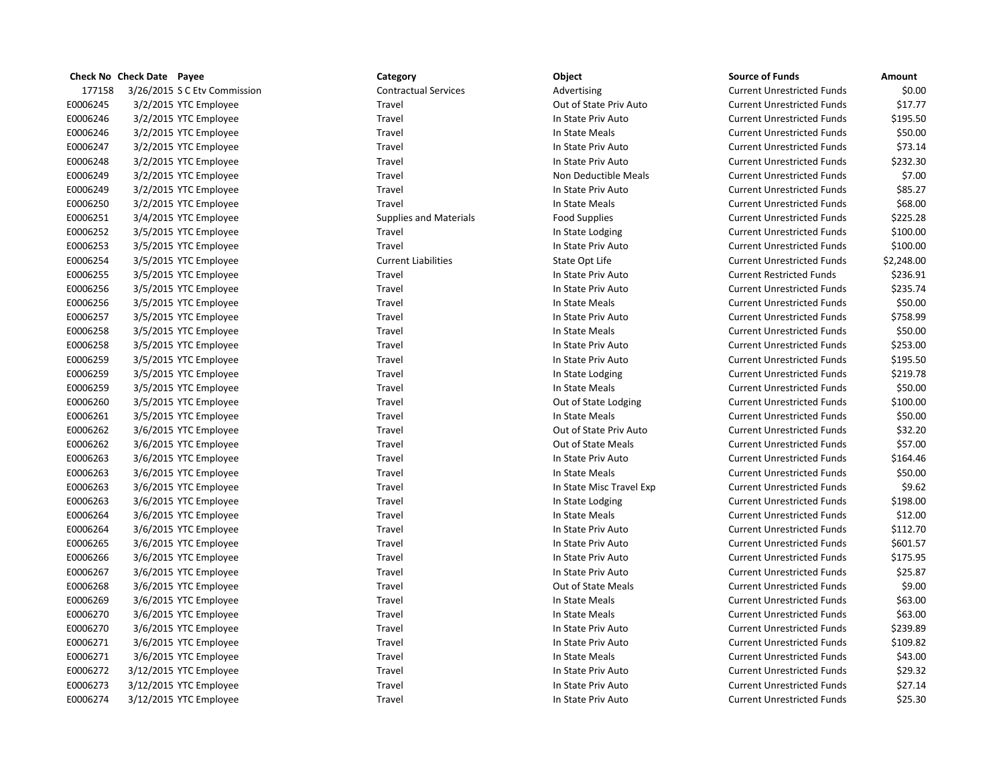|          | Check No Check Date Payee |                              | Category                      | Object                   | <b>Source of Funds</b>            | Amount     |
|----------|---------------------------|------------------------------|-------------------------------|--------------------------|-----------------------------------|------------|
| 177158   |                           | 3/26/2015 S C Ety Commission | <b>Contractual Services</b>   | Advertising              | <b>Current Unrestricted Funds</b> | \$0.00     |
| E0006245 |                           | 3/2/2015 YTC Employee        | Travel                        | Out of State Priv Auto   | <b>Current Unrestricted Funds</b> | \$17.77    |
| E0006246 |                           | 3/2/2015 YTC Employee        | Travel                        | In State Priv Auto       | <b>Current Unrestricted Funds</b> | \$195.50   |
| E0006246 |                           | 3/2/2015 YTC Employee        | Travel                        | In State Meals           | <b>Current Unrestricted Funds</b> | \$50.00    |
| E0006247 |                           | 3/2/2015 YTC Employee        | Travel                        | In State Priv Auto       | <b>Current Unrestricted Funds</b> | \$73.14    |
| E0006248 |                           | 3/2/2015 YTC Employee        | Travel                        | In State Priv Auto       | <b>Current Unrestricted Funds</b> | \$232.30   |
| E0006249 |                           | 3/2/2015 YTC Employee        | Travel                        | Non Deductible Meals     | <b>Current Unrestricted Funds</b> | \$7.00     |
| E0006249 |                           | 3/2/2015 YTC Employee        | Travel                        | In State Priv Auto       | <b>Current Unrestricted Funds</b> | \$85.27    |
| E0006250 |                           | 3/2/2015 YTC Employee        | Travel                        | In State Meals           | <b>Current Unrestricted Funds</b> | \$68.00    |
| E0006251 |                           | 3/4/2015 YTC Employee        | <b>Supplies and Materials</b> | <b>Food Supplies</b>     | <b>Current Unrestricted Funds</b> | \$225.28   |
| E0006252 |                           | 3/5/2015 YTC Employee        | Travel                        | In State Lodging         | <b>Current Unrestricted Funds</b> | \$100.00   |
| E0006253 |                           | 3/5/2015 YTC Employee        | Travel                        | In State Priv Auto       | <b>Current Unrestricted Funds</b> | \$100.00   |
| E0006254 |                           | 3/5/2015 YTC Employee        | <b>Current Liabilities</b>    | State Opt Life           | <b>Current Unrestricted Funds</b> | \$2,248.00 |
| E0006255 |                           | 3/5/2015 YTC Employee        | Travel                        | In State Priv Auto       | <b>Current Restricted Funds</b>   | \$236.91   |
| E0006256 |                           | 3/5/2015 YTC Employee        | Travel                        | In State Priv Auto       | <b>Current Unrestricted Funds</b> | \$235.74   |
| E0006256 |                           | 3/5/2015 YTC Employee        | Travel                        | In State Meals           | <b>Current Unrestricted Funds</b> | \$50.00    |
| E0006257 |                           | 3/5/2015 YTC Employee        | Travel                        | In State Priv Auto       | <b>Current Unrestricted Funds</b> | \$758.99   |
| E0006258 |                           | 3/5/2015 YTC Employee        | Travel                        | In State Meals           | <b>Current Unrestricted Funds</b> | \$50.00    |
| E0006258 |                           | 3/5/2015 YTC Employee        | Travel                        | In State Priv Auto       | <b>Current Unrestricted Funds</b> | \$253.00   |
| E0006259 |                           | 3/5/2015 YTC Employee        | Travel                        | In State Priv Auto       | <b>Current Unrestricted Funds</b> | \$195.50   |
| E0006259 |                           | 3/5/2015 YTC Employee        | Travel                        | In State Lodging         | <b>Current Unrestricted Funds</b> | \$219.78   |
| E0006259 |                           | 3/5/2015 YTC Employee        | Travel                        | In State Meals           | <b>Current Unrestricted Funds</b> | \$50.00    |
| E0006260 |                           | 3/5/2015 YTC Employee        | Travel                        | Out of State Lodging     | <b>Current Unrestricted Funds</b> | \$100.00   |
| E0006261 |                           | 3/5/2015 YTC Employee        | Travel                        | In State Meals           | <b>Current Unrestricted Funds</b> | \$50.00    |
| E0006262 |                           | 3/6/2015 YTC Employee        | Travel                        | Out of State Priv Auto   | <b>Current Unrestricted Funds</b> | \$32.20    |
| E0006262 |                           | 3/6/2015 YTC Employee        | Travel                        | Out of State Meals       | <b>Current Unrestricted Funds</b> | \$57.00    |
| E0006263 |                           | 3/6/2015 YTC Employee        | Travel                        | In State Priv Auto       | <b>Current Unrestricted Funds</b> | \$164.46   |
| E0006263 |                           | 3/6/2015 YTC Employee        | Travel                        | In State Meals           | <b>Current Unrestricted Funds</b> | \$50.00    |
| E0006263 |                           | 3/6/2015 YTC Employee        | Travel                        | In State Misc Travel Exp | <b>Current Unrestricted Funds</b> | \$9.62     |
| E0006263 |                           | 3/6/2015 YTC Employee        | Travel                        | In State Lodging         | <b>Current Unrestricted Funds</b> | \$198.00   |
| E0006264 |                           | 3/6/2015 YTC Employee        | Travel                        | In State Meals           | <b>Current Unrestricted Funds</b> | \$12.00    |
| E0006264 |                           | 3/6/2015 YTC Employee        | Travel                        | In State Priv Auto       | <b>Current Unrestricted Funds</b> | \$112.70   |
| E0006265 |                           | 3/6/2015 YTC Employee        | Travel                        | In State Priv Auto       | <b>Current Unrestricted Funds</b> | \$601.57   |
| E0006266 |                           | 3/6/2015 YTC Employee        | Travel                        | In State Priv Auto       | <b>Current Unrestricted Funds</b> | \$175.95   |
| E0006267 |                           | 3/6/2015 YTC Employee        | Travel                        | In State Priv Auto       | <b>Current Unrestricted Funds</b> | \$25.87    |
| E0006268 |                           | 3/6/2015 YTC Employee        | Travel                        | Out of State Meals       | <b>Current Unrestricted Funds</b> | \$9.00     |
| E0006269 |                           | 3/6/2015 YTC Employee        | Travel                        | In State Meals           | <b>Current Unrestricted Funds</b> | \$63.00    |
| E0006270 |                           | 3/6/2015 YTC Employee        | Travel                        | In State Meals           | <b>Current Unrestricted Funds</b> | \$63.00    |
| E0006270 |                           | 3/6/2015 YTC Employee        | Travel                        | In State Priv Auto       | <b>Current Unrestricted Funds</b> | \$239.89   |
| E0006271 |                           | 3/6/2015 YTC Employee        | Travel                        | In State Priv Auto       | <b>Current Unrestricted Funds</b> | \$109.82   |
| E0006271 |                           | 3/6/2015 YTC Employee        | Travel                        | In State Meals           | <b>Current Unrestricted Funds</b> | \$43.00    |
| E0006272 |                           | 3/12/2015 YTC Employee       | Travel                        | In State Priv Auto       | <b>Current Unrestricted Funds</b> | \$29.32    |
| E0006273 |                           | 3/12/2015 YTC Employee       | Travel                        | In State Priv Auto       | <b>Current Unrestricted Funds</b> | \$27.14    |
| E0006274 |                           | 3/12/2015 YTC Employee       | Travel                        | In State Priv Auto       | <b>Current Unrestricted Funds</b> | \$25.30    |

# Supplies and Materials Food Supplies

# E0006263 3/6/2015 YTC Employee Travel In State Misc Travel Exp Current Unrestricted Funds \$9.62

|          | Check No Check Date Payee |                              | Category                      | Object                   | <b>Source of Funds</b>            | Amount     |
|----------|---------------------------|------------------------------|-------------------------------|--------------------------|-----------------------------------|------------|
| 177158   |                           | 3/26/2015 S C Etv Commission | <b>Contractual Services</b>   | Advertising              | <b>Current Unrestricted Funds</b> | \$0.00     |
| E0006245 |                           | 3/2/2015 YTC Employee        | Travel                        | Out of State Priv Auto   | <b>Current Unrestricted Funds</b> | \$17.77    |
| E0006246 |                           | 3/2/2015 YTC Employee        | Travel                        | In State Priv Auto       | <b>Current Unrestricted Funds</b> | \$195.50   |
| E0006246 |                           | 3/2/2015 YTC Employee        | Travel                        | In State Meals           | <b>Current Unrestricted Funds</b> | \$50.00    |
| E0006247 |                           | 3/2/2015 YTC Employee        | Travel                        | In State Priv Auto       | <b>Current Unrestricted Funds</b> | \$73.14    |
| E0006248 |                           | 3/2/2015 YTC Employee        | Travel                        | In State Priv Auto       | <b>Current Unrestricted Funds</b> | \$232.30   |
| E0006249 |                           | 3/2/2015 YTC Employee        | Travel                        | Non Deductible Meals     | <b>Current Unrestricted Funds</b> | \$7.00     |
| E0006249 |                           | 3/2/2015 YTC Employee        | Travel                        | In State Priv Auto       | <b>Current Unrestricted Funds</b> | \$85.27    |
| E0006250 |                           | 3/2/2015 YTC Employee        | Travel                        | In State Meals           | <b>Current Unrestricted Funds</b> | \$68.00    |
| E0006251 |                           | 3/4/2015 YTC Employee        | <b>Supplies and Materials</b> | <b>Food Supplies</b>     | <b>Current Unrestricted Funds</b> | \$225.28   |
| E0006252 |                           | 3/5/2015 YTC Employee        | Travel                        | In State Lodging         | <b>Current Unrestricted Funds</b> | \$100.00   |
| E0006253 |                           | 3/5/2015 YTC Employee        | Travel                        | In State Priv Auto       | <b>Current Unrestricted Funds</b> | \$100.00   |
| E0006254 |                           | 3/5/2015 YTC Employee        | <b>Current Liabilities</b>    | State Opt Life           | <b>Current Unrestricted Funds</b> | \$2,248.00 |
| E0006255 |                           | 3/5/2015 YTC Employee        | Travel                        | In State Priv Auto       | <b>Current Restricted Funds</b>   | \$236.91   |
| E0006256 |                           | 3/5/2015 YTC Employee        | Travel                        | In State Priv Auto       | <b>Current Unrestricted Funds</b> | \$235.74   |
| E0006256 |                           | 3/5/2015 YTC Employee        | Travel                        | In State Meals           | <b>Current Unrestricted Funds</b> | \$50.00    |
| E0006257 |                           | 3/5/2015 YTC Employee        | Travel                        | In State Priv Auto       | <b>Current Unrestricted Funds</b> | \$758.99   |
| E0006258 |                           | 3/5/2015 YTC Employee        | Travel                        | In State Meals           | <b>Current Unrestricted Funds</b> | \$50.00    |
| E0006258 |                           | 3/5/2015 YTC Employee        | Travel                        | In State Priv Auto       | <b>Current Unrestricted Funds</b> | \$253.00   |
| E0006259 |                           | 3/5/2015 YTC Employee        | Travel                        | In State Priv Auto       | <b>Current Unrestricted Funds</b> | \$195.50   |
| E0006259 |                           | 3/5/2015 YTC Employee        | Travel                        | In State Lodging         | <b>Current Unrestricted Funds</b> | \$219.78   |
| E0006259 |                           | 3/5/2015 YTC Employee        | Travel                        | In State Meals           | <b>Current Unrestricted Funds</b> | \$50.00    |
| E0006260 |                           | 3/5/2015 YTC Employee        | Travel                        | Out of State Lodging     | <b>Current Unrestricted Funds</b> | \$100.00   |
| E0006261 |                           | 3/5/2015 YTC Employee        | Travel                        | In State Meals           | <b>Current Unrestricted Funds</b> | \$50.00    |
| E0006262 |                           | 3/6/2015 YTC Employee        | Travel                        | Out of State Priv Auto   | <b>Current Unrestricted Funds</b> | \$32.20    |
| E0006262 |                           | 3/6/2015 YTC Employee        | Travel                        | Out of State Meals       | <b>Current Unrestricted Funds</b> | \$57.00    |
| E0006263 |                           | 3/6/2015 YTC Employee        | Travel                        | In State Priv Auto       | <b>Current Unrestricted Funds</b> | \$164.46   |
| E0006263 |                           | 3/6/2015 YTC Employee        | Travel                        | In State Meals           | <b>Current Unrestricted Funds</b> | \$50.00    |
| E0006263 |                           | 3/6/2015 YTC Employee        | Travel                        | In State Misc Travel Exp | <b>Current Unrestricted Funds</b> | \$9.62     |
| E0006263 |                           | 3/6/2015 YTC Employee        | Travel                        | In State Lodging         | <b>Current Unrestricted Funds</b> | \$198.00   |
| E0006264 |                           | 3/6/2015 YTC Employee        | Travel                        | In State Meals           | <b>Current Unrestricted Funds</b> | \$12.00    |
| E0006264 |                           | 3/6/2015 YTC Employee        | Travel                        | In State Priv Auto       | <b>Current Unrestricted Funds</b> | \$112.70   |
| E0006265 |                           | 3/6/2015 YTC Employee        | Travel                        | In State Priv Auto       | <b>Current Unrestricted Funds</b> | \$601.57   |
| E0006266 |                           | 3/6/2015 YTC Employee        | Travel                        | In State Priv Auto       | <b>Current Unrestricted Funds</b> | \$175.95   |
| E0006267 |                           | 3/6/2015 YTC Employee        | Travel                        | In State Priv Auto       | <b>Current Unrestricted Funds</b> | \$25.87    |
| E0006268 |                           | 3/6/2015 YTC Employee        | Travel                        | Out of State Meals       | <b>Current Unrestricted Funds</b> | \$9.00     |
| E0006269 |                           | 3/6/2015 YTC Employee        | Travel                        | In State Meals           | <b>Current Unrestricted Funds</b> | \$63.00    |
| E0006270 |                           | 3/6/2015 YTC Employee        | Travel                        | In State Meals           | <b>Current Unrestricted Funds</b> | \$63.00    |
| E0006270 |                           | 3/6/2015 YTC Employee        | Travel                        | In State Priv Auto       | <b>Current Unrestricted Funds</b> | \$239.89   |
| E0006271 |                           | 3/6/2015 YTC Employee        | Travel                        | In State Priv Auto       | <b>Current Unrestricted Funds</b> | \$109.82   |
| E0006271 |                           | 3/6/2015 YTC Employee        | Travel                        | In State Meals           | <b>Current Unrestricted Funds</b> | \$43.00    |
| E0006272 |                           | 3/12/2015 YTC Employee       | Travel                        | In State Priv Auto       | <b>Current Unrestricted Funds</b> | \$29.32    |
| E0006273 |                           | 3/12/2015 YTC Employee       | Travel                        | In State Priv Auto       | <b>Current Unrestricted Funds</b> | \$27.14    |
| F0006274 |                           | 3/12/2015 YTC Employee       | Travel                        | In State Priv Auto       | Current Unrestricted Funds        | \$25.30    |